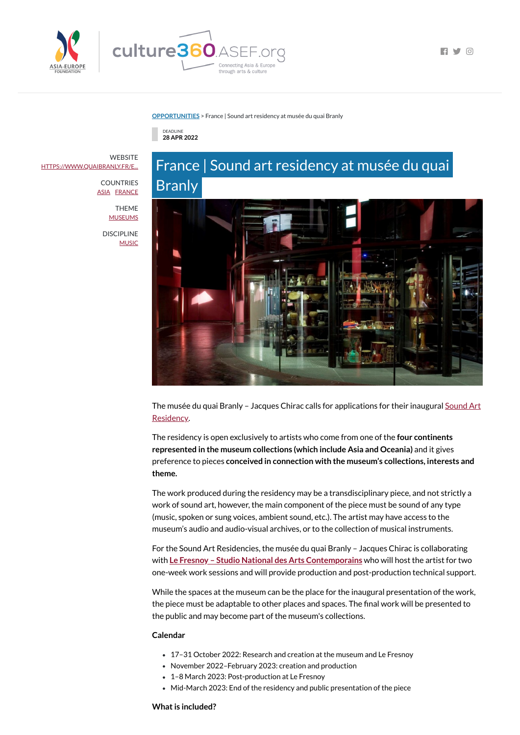

 $\Box$   $\Box$   $\Box$ 

**[OPPORTUNITIES](https://culture360.asef.org/opportunities/)** > France | Sound art residency at musée du quai Branly



# France | Sound art residency at musée du quai Branly



The musée du quai Branly - Jacques Chirac calls for [applications](https://www.quaibranly.fr/en/collections/living-collections/news/sound-art-residency-call-for-applications/) for their inaugural Sound Art Residency.

The residency is open exclusively to artists who come from one of the **four continents represented in the museum collections (which include Asia and Oceania)** and it gives preference to pieces **conceived in connection with the museum's collections, interests and theme.**

The work produced during the residency may be a transdisciplinary piece, and not strictly a work of sound art, however, the main component of the piece must be sound of any type (music, spoken or sung voices, ambient sound, etc.). The artist may have access to the museum's audio and audio-visual archives, or to the collection of musical instruments.

**WEBSITE** [HTTPS://WWW.QUAIBRANLY.FR/E...](https://www.quaibranly.fr/en/collections/living-collections/news/sound-art-residency-call-for-applications/)

> COUNTRIES **[ASIA](https://culture360.asef.org/countries/asia/) [FRANCE](https://culture360.asef.org/countries/france/)**

> > THEME **[MUSEUMS](https://culture360.asef.org/themes/museums/)**

DISCIPLINE **[MUSIC](https://culture360.asef.org/disciplines/music/)** 

For the Sound Art Residencies, the musée du quai Branly – Jacques Chirac is collaborating

with **Le Fresnoy – Studio National des Arts [Contemporains](https://www.lefresnoy.net/fr)** who will host the artist for two one-week work sessions and will provide production and post-production technical support.

While the spaces at the museum can be the place for the inaugural presentation of the work, the piece must be adaptable to other places and spaces. The final work will be presented to the public and may become part of the museum's collections.

### **Calendar**

- 17–31 October 2022: Research and creation at the museum and Le Fresnoy
- November 2022–February 2023: creation and production
- 1–8 March 2023: Post-production at Le Fresnoy
- Mid-March 2023: End of the residency and public presentation of the piece

### **What is included?**